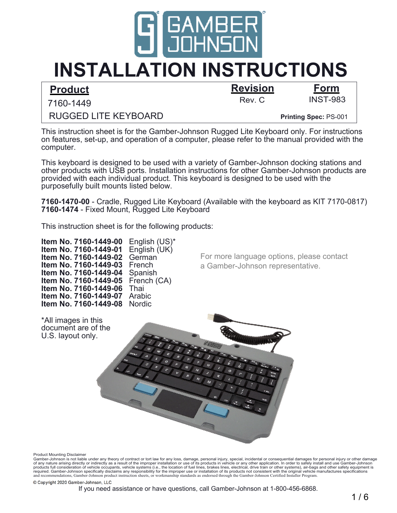

# **INSTALLATION INSTRUCTIONS**

### **Product Revision Form**

Rev. C INST-983

7160-1449

**Printing Spec:** PS-001

This instruction sheet is for the Gamber-Johnson Rugged Lite Keyboard only. For instructions on features, set-up, and operation of a computer, please refer to the manual provided with the computer.

This keyboard is designed to be used with a variety of Gamber-Johnson docking stations and other products with USB ports. Installation instructions for other Gamber-Johnson products are provided with each individual product. This keyboard is designed to be used with the purposefully built mounts listed below.

**7160-1470-00** - Cradle, Rugged Lite Keyboard (Available with the keyboard as KIT 7170-0817) **7160-1474** - Fixed Mount, Rugged Lite Keyboard

This instruction sheet is for the following products:

**Item No. 7160-1449-00** English (US)<sup>\*</sup><br>**Item No. 7160-1449-01** English (UK) **Item No. 7160-1449-01 Item No. 7160-1449-02** German **Item No. 7160-1449-03** French **Item No. 7160-1449-04** Spanish **Item No. 7160-1449-05** French (CA) **Item No. 7160-1449-06** Thai **Item No. 7160-1449-07** Arabic **Item No. 7160-1449-08** Nordic

RUGGED LITE KEYBOARD

For more language options, please contact a Gamber-Johnson representative.



Product Mounting Disclaimer

required. Gamber-Johnson specifically disclaims any responsibility for the improper use or installation of its products not consistent with the original vehicle manufactures specifications<br>and recommendations, Gamber-Johns Gamber-Johnson is not liable under any theory of contract or tort law for any loss, damage, personal injury, special, incidental or consequential damages for personal injury or other damage<br>of any nature arising directly o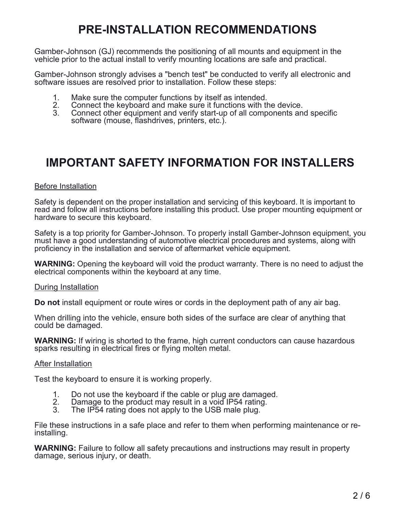## **PRE-INSTALLATION RECOMMENDATIONS**

Gamber-Johnson (GJ) recommends the positioning of all mounts and equipment in the vehicle prior to the actual install to verify mounting locations are safe and practical.

Gamber-Johnson strongly advises a "bench test" be conducted to verify all electronic and software issues are resolved prior to installation. Follow these steps:

- 1. Make sure the computer functions by itself as intended.<br>2. Connect the keyboard and make sure it functions with the
- 2. Connect the keyboard and make sure it functions with the device.<br>3. Connect other equipment and verify start-up of all components and
- 3. Connect other equipment and verify start-up of all components and specific software (mouse, flashdrives, printers, etc.).

### **IMPORTANT SAFETY INFORMATION FOR INSTALLERS**

#### Before Installation

Safety is dependent on the proper installation and servicing of this keyboard. It is important to read and follow all instructions before installing this product. Use proper mounting equipment or hardware to secure this keyboard.

Safety is a top priority for Gamber-Johnson. To properly install Gamber-Johnson equipment, you must have a good understanding of automotive electrical procedures and systems, along with proficiency in the installation and service of aftermarket vehicle equipment.

**WARNING:** Opening the keyboard will void the product warranty. There is no need to adjust the electrical components within the keyboard at any time.

#### During Installation

**Do not** install equipment or route wires or cords in the deployment path of any air bag.

When drilling into the vehicle, ensure both sides of the surface are clear of anything that could be damaged.

**WARNING:** If wiring is shorted to the frame, high current conductors can cause hazardous sparks resulting in electrical fires or flying molten metal.

#### After Installation

Test the keyboard to ensure it is working properly.

- 1. Do not use the keyboard if the cable or plug are damaged.<br>2. Damage to the product may result in a void IP54 rating.
- 2. Damage to the product may result in a void IP54 rating.
- The IP54 rating does not apply to the USB male plug.

File these instructions in a safe place and refer to them when performing maintenance or reinstalling.

**WARNING:** Failure to follow all safety precautions and instructions may result in property damage, serious injury, or death.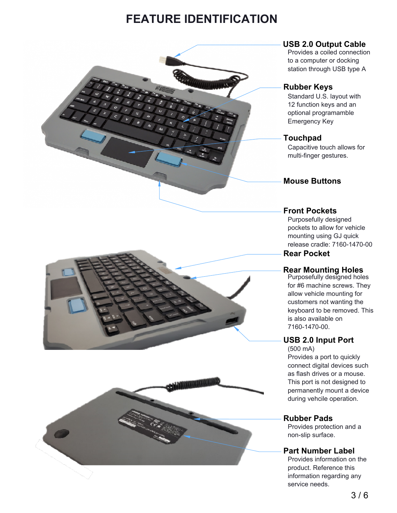### **FEATURE IDENTIFICATION**



Provides a coiled connection to a computer or docking station through USB type A

#### **Rubber Keys**

Standard U.S. layout with 12 function keys and an optional programamble Emergency Key

#### **Touchpad**

Capacitive touch allows for multi-finger gestures.

#### **Mouse Buttons**

#### **Front Pockets**

 **Rear Pocket** Purposefully designed pockets to allow for vehicle mounting using GJ quick release cradle: 7160-1470-00

#### **Rear Mounting Holes**

Purposefully designed holes for #6 machine screws. They allow vehicle mounting for customers not wanting the keyboard to be removed. This is also available on 7160-1470-00.

#### **USB 2.0 Input Port**

(500 mA) Provides a port to quickly connect digital devices such as flash drives or a mouse. This port is not designed to permanently mount a device during vehcile operation.

#### **Rubber Pads**

Provides protection and a non-slip surface.

#### **Part Number Label**

Provides information on the product. Reference this information regarding any service needs.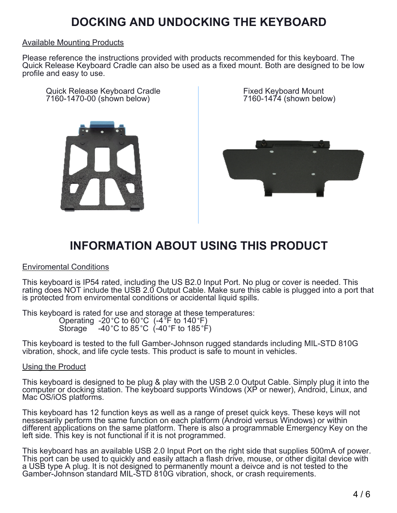### **DOCKING AND UNDOCKING THE KEYBOARD**

#### Available Mounting Products

Please reference the instructions provided with products recommended for this keyboard. The Quick Release Keyboard Cradle can also be used as a fixed mount. Both are designed to be low profile and easy to use.

Quick Release Keyboard Cradle 7160-1470-00 (shown below)



Fixed Keyboard Mount 7160-1474 (shown below)



### **INFORMATION ABOUT USING THIS PRODUCT**

#### Enviromental Conditions

This keyboard is IP54 rated, including the US B2.0 Input Port. No plug or cover is needed. This rating does NOT include the USB 2.0 Output Cable. Make sure this cable is plugged into a port that is protected from enviromental conditions or accidental liquid spills.

This keyboard is rated for use and storage at these temperatures: Operating -20 °C to 60 °C (-4  $\overline{P}$  to 140 °F) Storage  $-40^{\circ}$ C to 85 $^{\circ}$ C (-40 $^{\circ}$ F to 185 $^{\circ}$ F)

This keyboard is tested to the full Gamber-Johnson rugged standards including MIL-STD 810G vibration, shock, and life cycle tests. This product is safe to mount in vehicles.

#### Using the Product

This keyboard is designed to be plug & play with the USB 2.0 Output Cable. Simply plug it into the computer or docking station. The keyboard supports Windows (XP or newer), Android, Linux, and Mac OS/iOS platforms.

This keyboard has 12 function keys as well as a range of preset quick keys. These keys will not nessesarily perform the same function on each platform (Android versus Windows) or within different applications on the same platform. There is also a programmable Emergency Key on the left side. This key is not functional if it is not programmed.

This keyboard has an available USB 2.0 Input Port on the right side that supplies 500mA of power. This port can be used to quickly and easily attach a flash drive, mouse, or other digital device with a USB type A plug. It is not designed to permanently mount a deivce and is not tested to the Gamber-Johnson standard MIL-STD 810G vibration, shock, or crash requirements.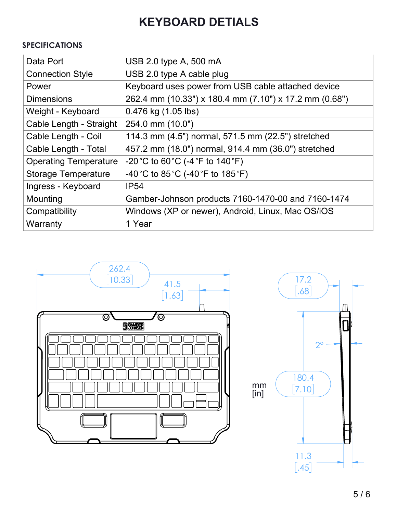## **KEYBOARD DETIALS**

### **SPECIFICATIONS**

| Data Port                    | USB 2.0 type A, 500 mA                                                   |
|------------------------------|--------------------------------------------------------------------------|
| <b>Connection Style</b>      | USB 2.0 type A cable plug                                                |
| Power                        | Keyboard uses power from USB cable attached device                       |
| <b>Dimensions</b>            | 262.4 mm (10.33") x 180.4 mm (7.10") x 17.2 mm (0.68")                   |
| Weight - Keyboard            | 0.476 kg (1.05 lbs)                                                      |
| Cable Length - Straight      | 254.0 mm (10.0")                                                         |
| Cable Length - Coil          | 114.3 mm (4.5") normal, 571.5 mm (22.5") stretched                       |
| Cable Length - Total         | 457.2 mm (18.0") normal, 914.4 mm (36.0") stretched                      |
| <b>Operating Temperature</b> | $-20^{\circ}$ C to 60 $^{\circ}$ C (-4 $^{\circ}$ F to 140 $^{\circ}$ F) |
| <b>Storage Temperature</b>   | -40 °C to 85 °C (-40 °F to 185 °F)                                       |
| Ingress - Keyboard           | IP <sub>54</sub>                                                         |
| Mounting                     | Gamber-Johnson products 7160-1470-00 and 7160-1474                       |
| Compatibility                | Windows (XP or newer), Android, Linux, Mac OS/iOS                        |
| Warranty                     | 1 Year                                                                   |